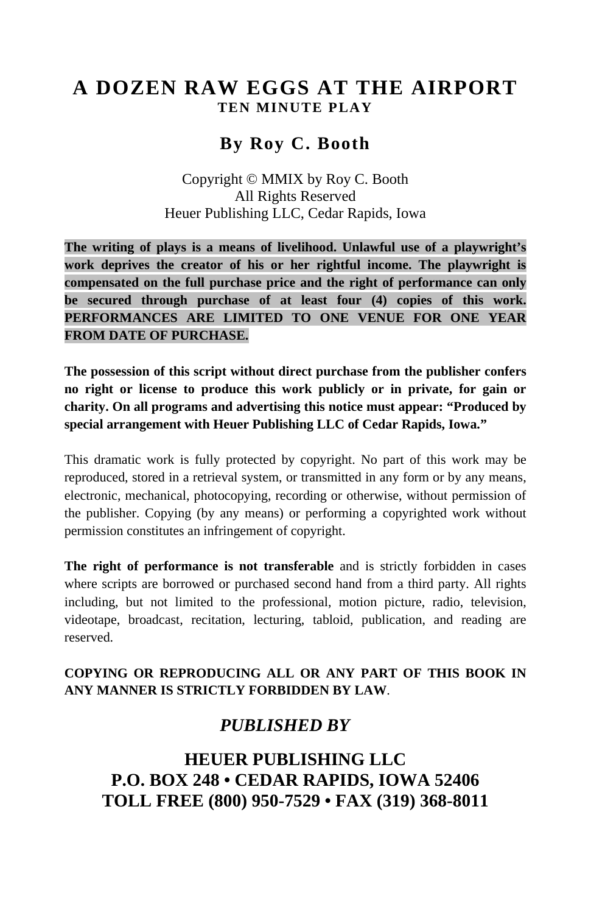#### **A DOZEN RAW EGGS AT THE AIRPORT TEN MINUTE PLAY**

## **By Roy C. Booth**

Copyright © MMIX by Roy C. Booth All Rights Reserved Heuer Publishing LLC, Cedar Rapids, Iowa

**The writing of plays is a means of livelihood. Unlawful use of a playwright's work deprives the creator of his or her rightful income. The playwright is compensated on the full purchase price and the right of performance can only be secured through purchase of at least four (4) copies of this work. PERFORMANCES ARE LIMITED TO ONE VENUE FOR ONE YEAR FROM DATE OF PURCHASE.** 

**The possession of this script without direct purchase from the publisher confers no right or license to produce this work publicly or in private, for gain or charity. On all programs and advertising this notice must appear: "Produced by special arrangement with Heuer Publishing LLC of Cedar Rapids, Iowa."** 

This dramatic work is fully protected by copyright. No part of this work may be reproduced, stored in a retrieval system, or transmitted in any form or by any means, electronic, mechanical, photocopying, recording or otherwise, without permission of the publisher. Copying (by any means) or performing a copyrighted work without permission constitutes an infringement of copyright.

**The right of performance is not transferable** and is strictly forbidden in cases where scripts are borrowed or purchased second hand from a third party. All rights including, but not limited to the professional, motion picture, radio, television, videotape, broadcast, recitation, lecturing, tabloid, publication, and reading are reserved.

#### **COPYING OR REPRODUCING ALL OR ANY PART OF THIS BOOK IN ANY MANNER IS STRICTLY FORBIDDEN BY LAW**.

#### *PUBLISHED BY*

**HEUER PUBLISHING LLC P.O. BOX 248 • CEDAR RAPIDS, IOWA 52406 TOLL FREE (800) 950-7529 • FAX (319) 368-8011**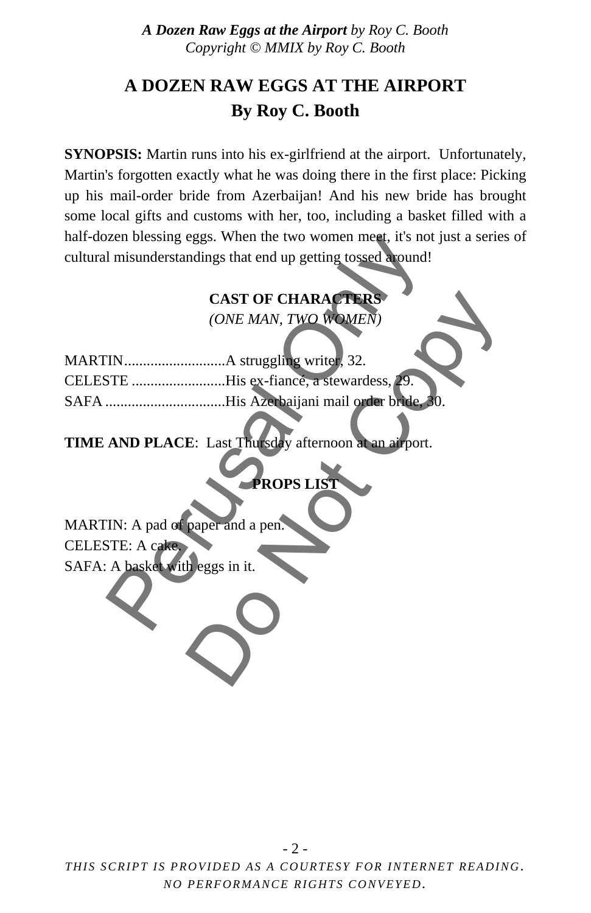## **A DOZEN RAW EGGS AT THE AIRPORT By Roy C. Booth**

**SYNOPSIS:** Martin runs into his ex-girlfriend at the airport. Unfortunately, Martin's forgotten exactly what he was doing there in the first place: Picking up his mail-order bride from Azerbaijan! And his new bride has brought some local gifts and customs with her, too, including a basket filled with a half-dozen blessing eggs. When the two women meet, it's not just a series of cultural misunderstandings that end up getting tossed around!

## **CAST OF CHARACTERS** *(ONE MAN, TWO WOMEN)*

| half-dozen blessing eggs. When the two women meet, it's not just a series |
|---------------------------------------------------------------------------|
| cultural misunderstandings that end up getting tossed around!             |
| <b>CAST OF CHARACTERS</b>                                                 |
|                                                                           |
| (ONE MAN, TWO WOMEN)                                                      |
|                                                                           |
|                                                                           |
| CELESTE His ex-fiancé, a stewardess, 29.                                  |
| SAFA His Azerbaijani mail order bride, 30.                                |
|                                                                           |
| TIME AND PLACE: Last Thursday afternoon at an airport.                    |
|                                                                           |
| PROPS LIST                                                                |
|                                                                           |
| MARTIN: A pad of paper and a pen.                                         |
| CELESTE: A cake.                                                          |
| SAFA: A basket with eggs in it.                                           |
|                                                                           |
|                                                                           |
|                                                                           |
|                                                                           |
|                                                                           |
|                                                                           |

## **PROPS LIS**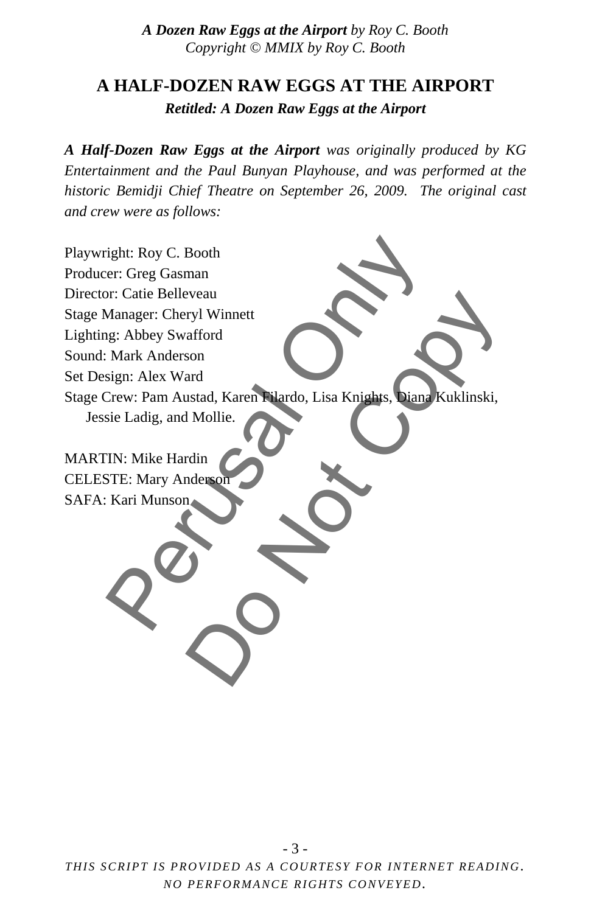# **A HALF-DOZEN RAW EGGS AT THE AIRPORT**

*Retitled: A Dozen Raw Eggs at the Airport* 

*A Half-Dozen Raw Eggs at the Airport was originally produced by KG Entertainment and the Paul Bunyan Playhouse, and was performed at the historic Bemidji Chief Theatre on September 26, 2009. The original cast and crew were as follows:* 

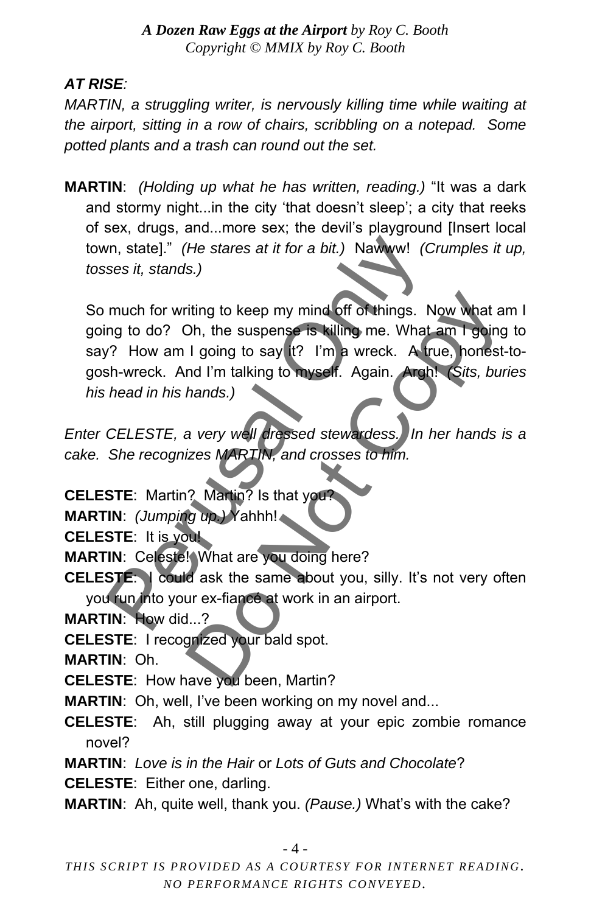#### *AT RISE:*

*MARTIN, a struggling writer, is nervously killing time while waiting at the airport, sitting in a row of chairs, scribbling on a notepad. Some potted plants and a trash can round out the set.* 

**MARTIN**: *(Holding up what he has written, reading.)* "It was a dark and stormy night...in the city 'that doesn't sleep'; a city that reeks of sex, drugs, and...more sex; the devil's playground [Insert local town, state]." *(He stares at it for a bit.)* Nawww! *(Crumples it up, tosses it, stands.)* 

So much for writing to keep my mind off of things. Now what am I going to do? Oh, the suspense is killing me. What am I going to say? How am I going to say it? I'm a wreck. A true, honest-togosh-wreck. And I'm talking to myself. Again. Argh! *(Sits, buries his head in his hands.)*  Fraction State Control and States at it for a bit.) Nawww! (Ses it, stands.)<br>
much for writing to keep my mind off of things. Ing to do? Oh, the suspense is killing me. What<br>
(Product only and I going to say it? I'm a wre The strategy must be the suspense is killing me. What am I going I going to say the I'm a wreck. A frue, honest-<br>
I going to say the I'm a wreck. A frue, honest-<br>
I going to say the I'm a wreck. A frue, honest-<br>
In talking

*Enter CELESTE, a very well dressed stewardess. In her hands is a cake. She recognizes MARTIN, and crosses to him.* 

**CELESTE**: Martin? Martin? Is that you? **MARTIN**: *(Jumping up.)* Yahhh!

**CELESTE**: It is you!

- **MARTIN: Celeste! What are you doing here?**
- **CELESTE:** I could ask the same about you, silly. It's not very often you run into your ex-fiancé at work in an airport.

**MARTIN**: How did...?

**CELESTE**: I recognized your bald spot.

**MARTIN**: Oh.

**CELESTE**: How have you been, Martin?

**MARTIN**: Oh, well, I've been working on my novel and...

**CELESTE**: Ah, still plugging away at your epic zombie romance novel?

**MARTIN**: *Love is in the Hair* or *Lots of Guts and Chocolate*?

**CELESTE**: Either one, darling.

**MARTIN**: Ah, quite well, thank you. *(Pause.)* What's with the cake?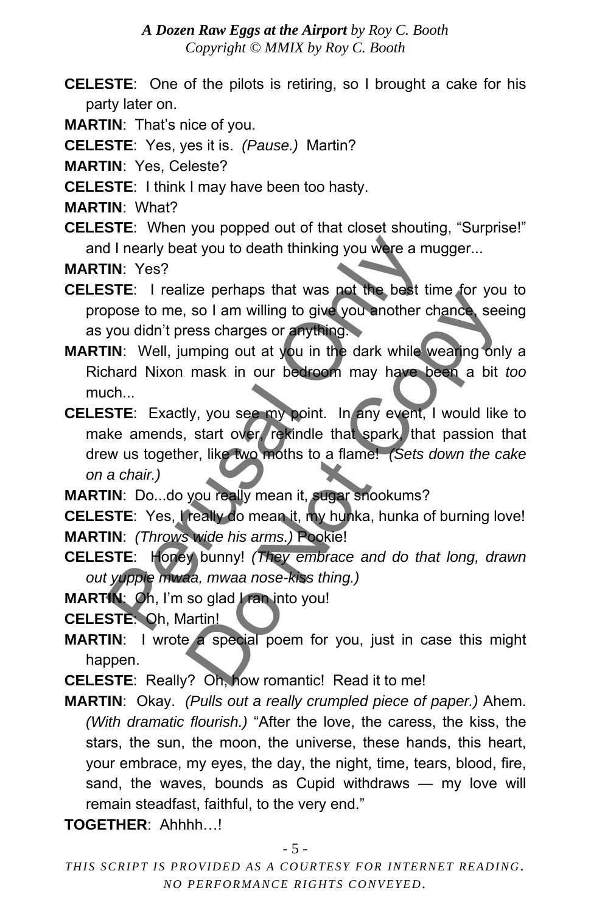- **CELESTE**: One of the pilots is retiring, so I brought a cake for his party later on.
- **MARTIN**: That's nice of you.

**CELESTE**: Yes, yes it is. *(Pause.)* Martin?

**MARTIN**: Yes, Celeste?

**CELESTE**: I think I may have been too hasty.

**MARTIN**: What?

**CELESTE**: When you popped out of that closet shouting, "Surprise!" and I nearly beat you to death thinking you were a mugger...

**MARTIN**: Yes?

**CELESTE**: I realize perhaps that was not the best time for you to propose to me, so I am willing to give you another chance, seeing as you didn't press charges or anything.

- **MARTIN**: Well, jumping out at you in the dark while wearing only a Richard Nixon mask in our bedroom may have been a bit *too*  much
- **CELESTE**: Exactly, you see my point. In any event, I would like to make amends, start over, rekindle that spark, that passion that drew us together, like two moths to a flame! *(Sets down the cake on a chair.)*  I hearly beat you to death thinking you were a m<br>
IN: Yes?<br>
STE: I realize perhaps that was not the best t<br>
pose to me, so I am willing to give you enother r<br>
you didn't press charges or anything.<br>
IN: Well, jumping out at Ize perhaps that was bet the best three for you<br>so I am willing to give you another chances see<br>ress charges or anything.<br>Imping out at you in the dark while wearing only<br>mask in our bedroom may have been a bit<br>ly, you see

**MARTIN**: Do...do you really mean it, sugar snookums?

**CELESTE:** Yes, I really do mean it, my hunka, hunka of burning love! **MARTIN**: *(Throws wide his arms.)* Pookie!

**CELESTE**: Honey bunny! *(They embrace and do that long, drawn out yuppie mwaa, mwaa nose-kiss thing.)* 

**MARTIN:** Oh, I'm so glad **I ran into you!** 

**CELESTE**: Oh, Martin!

**MARTIN:** I wrote a special poem for you, just in case this might happen.

**CELESTE**: Really? Oh, how romantic! Read it to me!

**MARTIN**: Okay. *(Pulls out a really crumpled piece of paper.)* Ahem. *(With dramatic flourish.)* "After the love, the caress, the kiss, the stars, the sun, the moon, the universe, these hands, this heart, your embrace, my eyes, the day, the night, time, tears, blood, fire, sand, the waves, bounds as Cupid withdraws — my love will remain steadfast, faithful, to the very end."

**TOGETHER**: Ahhhh…!

- 5 -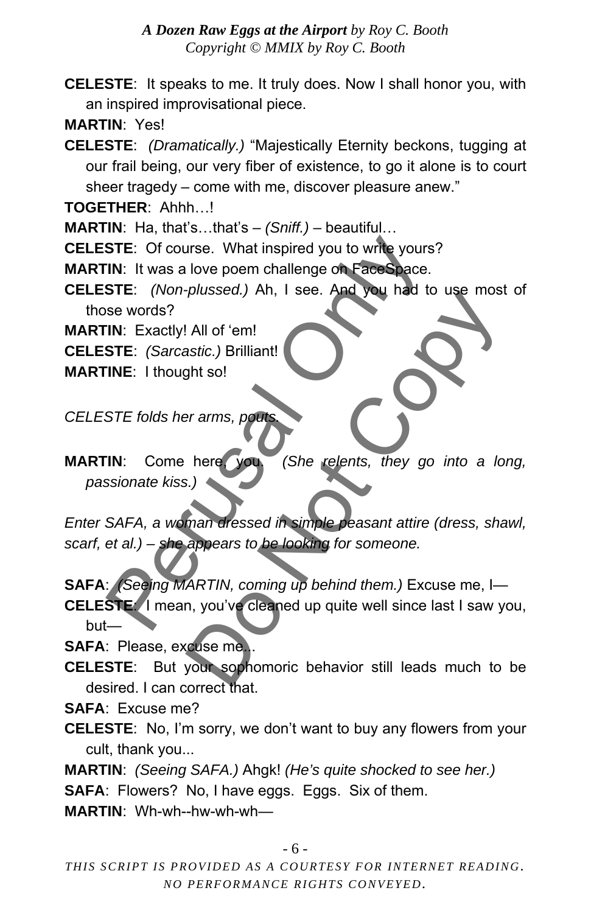**CELESTE**: It speaks to me. It truly does. Now I shall honor you, with an inspired improvisational piece.

**MARTIN**: Yes!

**CELESTE**: *(Dramatically.)* "Majestically Eternity beckons, tugging at our frail being, our very fiber of existence, to go it alone is to court sheer tragedy – come with me, discover pleasure anew."

**TOGETHER**: Ahhh…!

**MARTIN**: Ha, that's…that's – *(Sniff.)* – beautiful…

**CELESTE**: Of course. What inspired you to write yours?

**MARTIN**: It was a love poem challenge on FaceSpace.

**CELESTE**: *(Non-plussed.)* Ah, I see. And you had to use most of those words?

**MARTIN**: Exactly! All of 'em!

**CELESTE**: *(Sarcastic.)* Brilliant!

**MARTINE**: I thought so!

*CELESTE folds her arms, pouts.* 

**MARTIN**: Come here, you. *(She relents, they go into a long, passionate kiss.)*  STE: Of course. What inspired you to write your<br>
IN: It was a love poem challenge on FaceSpace<br>
STE: (Non-plussed.) Ah, I see. And you had t<br>
se words?<br>
IN: Exactly! All of 'em!<br>
STE: (Sarcastic.) Brilliant!<br>
STE: (Sarcast Prussed.) All, I see: And you had to disc most<br>antic.) Brilliant!<br>By the so!<br>Brame, points<br>and discussed in simple peasant attire (dress, sha<br>appears to be looking for someone.<br>ARTIN, coming up behind them.) Excuse me, I—<br>

*Enter SAFA, a woman dressed in simple peasant attire (dress, shawl, scarf, et al.) – she appears to be looking for someone.* 

**SAFA**: *(Seeing MARTIN, coming up behind them.)* Excuse me, I—

**CELESTE**: I mean, you've cleaned up quite well since last I saw you, but—

**SAFA: Please, excuse me...** 

**CELESTE**: But your sophomoric behavior still leads much to be desired. I can correct that.

**SAFA**: Excuse me?

**CELESTE**: No, I'm sorry, we don't want to buy any flowers from your cult, thank you...

**MARTIN**: *(Seeing SAFA.)* Ahgk! *(He's quite shocked to see her.)* 

**SAFA:** Flowers? No, I have eggs. Eggs. Six of them.

**MARTIN**: Wh-wh--hw-wh-wh—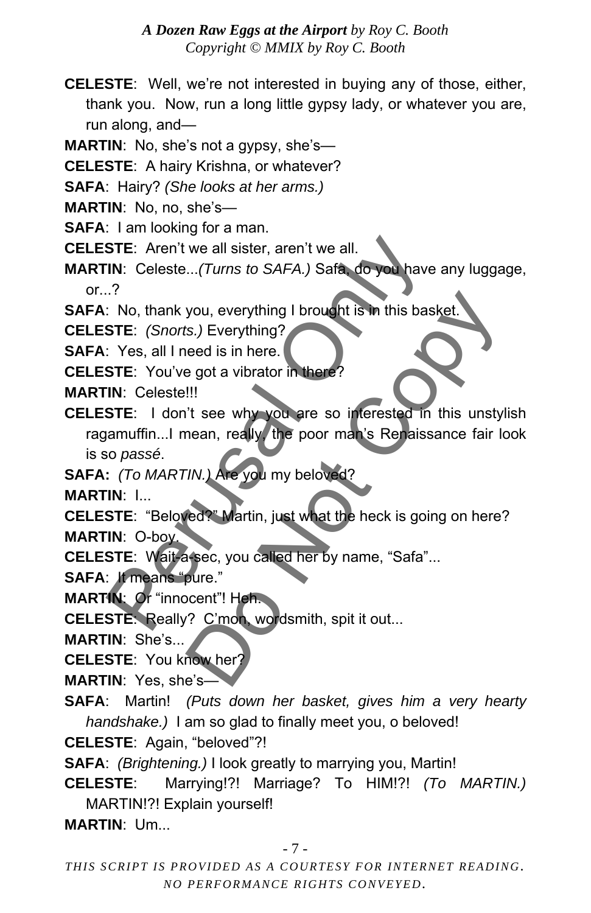**CELESTE**: Well, we're not interested in buying any of those, either, thank you. Now, run a long little gypsy lady, or whatever you are, run along, and—

**MARTIN:** No, she's not a gypsy, she's—

**CELESTE**: A hairy Krishna, or whatever?

**SAFA**: Hairy? *(She looks at her arms.)* 

**MARTIN**: No, no, she's—

**SAFA**: I am looking for a man.

**CELESTE**: Aren't we all sister, aren't we all.

**MARTIN**: Celeste...*(Turns to SAFA.)* Safa, do you have any luggage,  $or.$ ?

**SAFA**: No, thank you, everything I brought is in this basket.

**CELESTE**: *(Snorts.)* Everything?

**SAFA:** Yes, all I need is in here.

**CELESTE**: You've got a vibrator in there?

**MARTIN**: Celeste!!!

**CELESTE**: I don't see why you are so interested in this unstylish ragamuffin...I mean, really, the poor man's Renaissance fair look is so *passé*. STE: Aren't we all sister, aren't we all.<br>
IN: Celeste...(Turns to SAFA.) Safa. do you have<br>
.?<br>
2. No, thank you, everything?<br>
STE: (Snorts.) Everything?<br>
2. Yes, all I need is in here.<br>
STE: You've got a vibrator in ther you, everything I brought is in this basket.<br>
Is.) Everything?<br>
eed is in here.<br>
got a vibrator in there?<br>
!!!<br>
"it see why you are so interested in this unstyle<br>
nean, really the poor man's Renaissance fair lo<br>
TIN.) Are

**SAFA:** *(To MARTIN.)* Are you my beloved?

**MARTIN**: I...

**CELESTE**: "Beloved?" Martin, just what the heck is going on here? **MARTIN**: O-boy.

**CELESTE**: Wait-a-sec, you called her by name, "Safa"...

**SAFA**: It means "pure."

**MARTIN**: Or "innocent"! Heh.

**CELESTE**: Really? C'mon, wordsmith, spit it out...

**MARTIN**: She's...

**CELESTE**: You know her?

**MARTIN**: Yes, she's—

**SAFA**: Martin! *(Puts down her basket, gives him a very hearty handshake.)* I am so glad to finally meet you, o beloved!

**CELESTE**: Again, "beloved"?!

**SAFA**: *(Brightening.)* I look greatly to marrying you, Martin!

**CELESTE**: Marrying!?! Marriage? To HIM!?! *(To MARTIN.)* MARTIN!?! Explain yourself!

**MARTIN**: Um...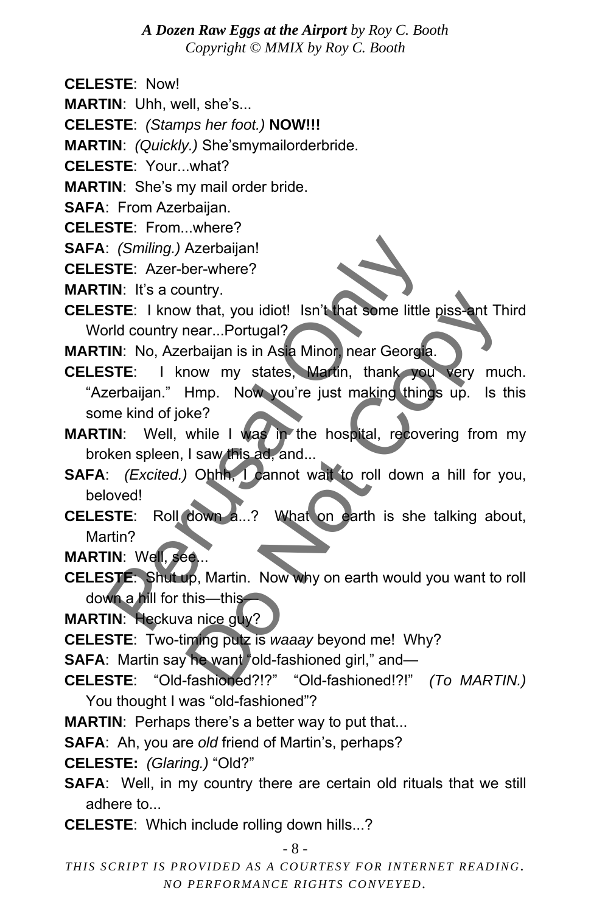**CELESTE**: Now!

**MARTIN**: Uhh, well, she's...

**CELESTE**: *(Stamps her foot.)* **NOW!!!** 

**MARTIN**: *(Quickly.)* She'smymailorderbride.

**CELESTE**: Your...what?

**MARTIN**: She's my mail order bride.

**SAFA**: From Azerbaijan.

**CELESTE**: From...where?

**SAFA**: *(Smiling.)* Azerbaijan!

**CELESTE**: Azer-ber-where?

**MARTIN**: It's a country.

**CELESTE**: I know that, you idiot! Isn't that some little piss-ant Third World country near...Portugal?

**MARTIN**: No, Azerbaijan is in Asia Minor, near Georgia.

**CELESTE**: I know my states, Martin, thank you very much. "Azerbaijan." Hmp. Now you're just making things up. Is this some kind of joke? Conting Controller (Smiling Controller 2017)<br>
PERTE: Azer-ber-where?<br>
PERTE: 1 know that, you idiot! Isn't that some little<br>
Piral Country near...Portugal?<br>
PIRTE: 1 know my states, Martin, thank your<br>
STE: 1 know my state what, you idiot! Isn't that some little piss-ant Thear...Portugal?<br>
Thear...Portugal?<br>
Thear...Portugal?<br>
Thear...Portugal?<br>
Now you're just making things up. Is to<br>
Hmp. Now you're just making things up. Is to<br>
the?<br>
Whil

**MARTIN:** Well, while I was in the hospital, recovering from my broken spleen, I saw this ad, and...

**SAFA**: *(Excited.)* Ohhh, I cannot wait to roll down a hill for you, beloved!

**CELESTE**: Roll down a...? What on earth is she talking about, Martin?

**MARTIN**: Well, see...

**CELESTE**: Shut up, Martin. Now why on earth would you want to roll down a hill for this—this—

**MARTIN:** Heckuva nice guy?

**CELESTE**: Two-timing putz is *waaay* beyond me! Why?

**SAFA:** Martin say he want "old-fashioned girl," and—

**CELESTE**: "Old-fashioned?!?" "Old-fashioned!?!" *(To MARTIN.)* You thought I was "old-fashioned"?

**MARTIN**: Perhaps there's a better way to put that...

**SAFA**: Ah, you are *old* friend of Martin's, perhaps?

**CELESTE:** *(Glaring.)* "Old?"

- **SAFA**: Well, in my country there are certain old rituals that we still adhere to...
- **CELESTE**: Which include rolling down hills...?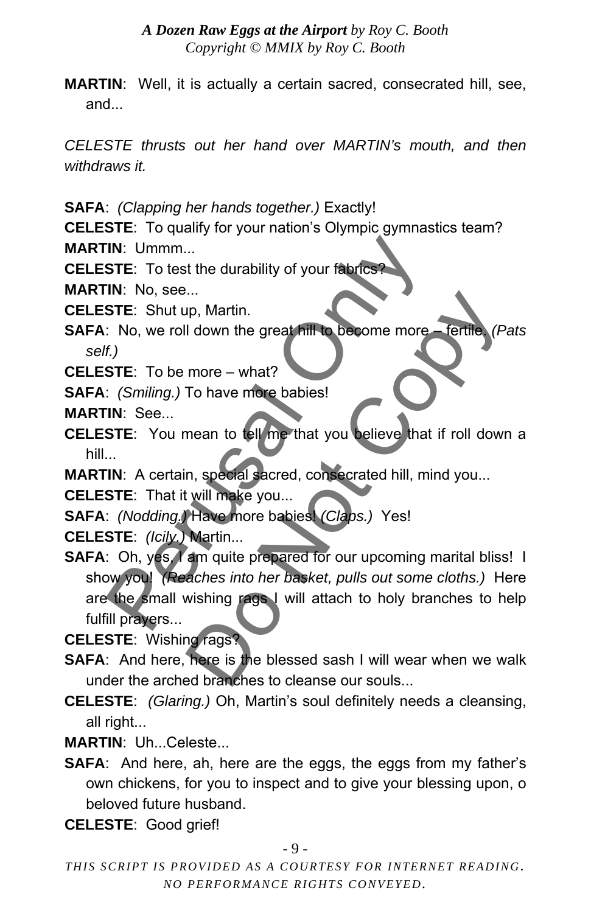**MARTIN**: Well, it is actually a certain sacred, consecrated hill, see, and...

*CELESTE thrusts out her hand over MARTIN's mouth, and then withdraws it.* 

**SAFA**: *(Clapping her hands together.)* Exactly!

**CELESTE**: To qualify for your nation's Olympic gymnastics team? **MARTIN**: Ummm...

**CELESTE**: To test the durability of your fabrics?

**MARTIN**: No, see...

**CELESTE**: Shut up, Martin.

**SAFA**: No, we roll down the great hill to become more – fertile. *(Pats self.)* 

**CELESTE**: To be more – what?

**SAFA**: *(Smiling.)* To have more babies!

**MARTIN**: See...

- **CELESTE**: You mean to tell me that you believe that if roll down a hill...
- **MARTIN**: A certain, special sacred, consecrated hill, mind you...

**CELESTE**: That it will make you...

**SAFA**: *(Nodding.)* Have more babies! *(Claps.)* Yes!

**CELESTE**: *(Icily.)* Martin...

**SAFA:** Oh, yes, I am quite prepared for our upcoming marital bliss! I show you! *(Reaches into her basket, pulls out some cloths.)* Here are the small wishing rags I will attach to holy branches to help fulfill prayers... Th: Ummm...<br>
STE: To test the durability of your fabrics?<br>
Th: No, see...<br>
STE: Shut up, Martin.<br>
: No, we roll down the great fill to become more<br>
f.)<br>
STE: To be more – what?<br>
: (Smiling.) To have more babies!<br>
IN: See.. when the great fill to become more fertile (P<br>more – what?<br>To have more babies!<br>mean to tell me that you believe that if roll down<br>n, special sacred, consecrated hill, mind you...<br>twill make you...<br>Have more babies! (Claps

**CELESTE**: Wishing rags?

- **SAFA**: And here, here is the blessed sash I will wear when we walk under the arched branches to cleanse our souls...
- **CELESTE**: *(Glaring.)* Oh, Martin's soul definitely needs a cleansing, all right...
- **MARTIN**: Uh...Celeste...
- **SAFA:** And here, ah, here are the eggs, the eggs from my father's own chickens, for you to inspect and to give your blessing upon, o beloved future husband.

**CELESTE**: Good grief!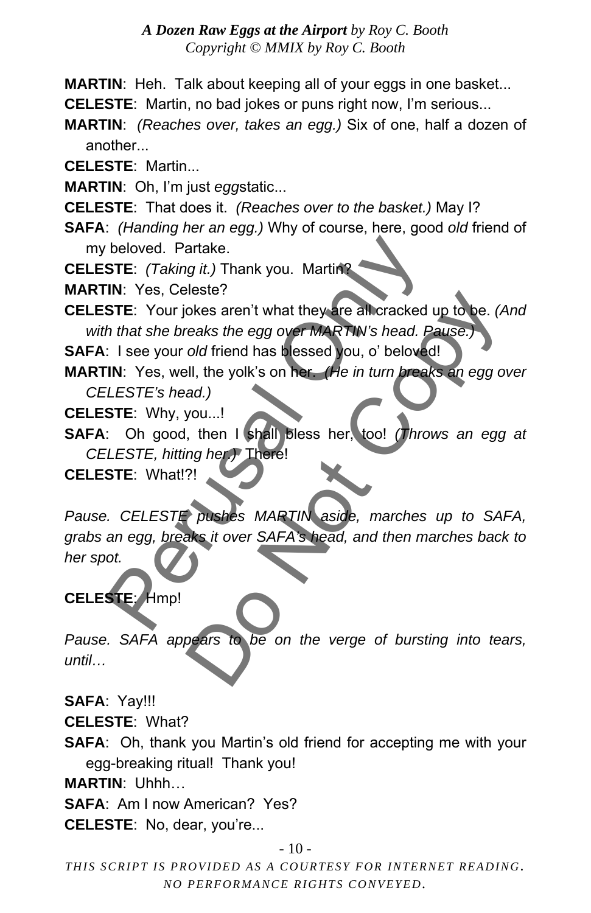**MARTIN**: Heh. Talk about keeping all of your eggs in one basket...

**CELESTE**: Martin, no bad jokes or puns right now, I'm serious...

**MARTIN**: *(Reaches over, takes an egg.)* Six of one, half a dozen of another...

**CELESTE**: Martin...

**MARTIN**: Oh, I'm just *egg*static...

- **CELESTE**: That does it. *(Reaches over to the basket.)* May I?
- **SAFA**: *(Handing her an egg.)* Why of course, here, good *old* friend of my beloved. Partake.

**CELESTE**: *(Taking it.)* Thank you. Martin?

**MARTIN**: Yes, Celeste?

**CELESTE**: Your jokes aren't what they are all cracked up to be. *(And with that she breaks the egg over MARTIN's head. Pause.)* 

**SAFA**: I see your *old* friend has blessed you, o' beloved!

**MARTIN**: Yes, well, the yolk's on her. *(He in turn breaks an egg over CELESTE's head.)* 

**CELESTE**: Why, you...!

**SAFA**: Oh good, then I shall bless her, too! *(Throws an egg at CELESTE, hitting her.)* There!

**CELESTE**: What!?!

*Pause. CELESTE pushes MARTIN aside, marches up to SAFA, grabs an egg, breaks it over SAFA's head, and then marches back to her spot.*  beloved. Partake.<br>
STE: (Taking it.) Thank you. Marting<br>
IN: Yes, Celeste?<br>
STE: Your jokes aren't what they are all cracked<br>
that she breaks the egg over MARTIN's head.<br>
I see your old friend has bessed you, o' belove<br>
IN Shesser!<br>
Shesser!<br>
Shess aren't what they are all cracked up to be. (A<br>
reaks the egg over MARTIN's head. Pause.)<br>
old friend has bessed you, o' beloved!<br>
and.)<br>
you...!<br>
I, then I shall bless her, too! (Throws an egg or<br>

## **CELESTE**: Hmp!

*Pause. SAFA appears to be on the verge of bursting into tears, until…* 

**SAFA**: Yay!!!

**CELESTE**: What?

**SAFA:** Oh, thank you Martin's old friend for accepting me with your egg-breaking ritual! Thank you!

**MARTIN**: Uhhh…

**SAFA**: Am I now American? Yes?

**CELESTE**: No, dear, you're...

#### - 10 -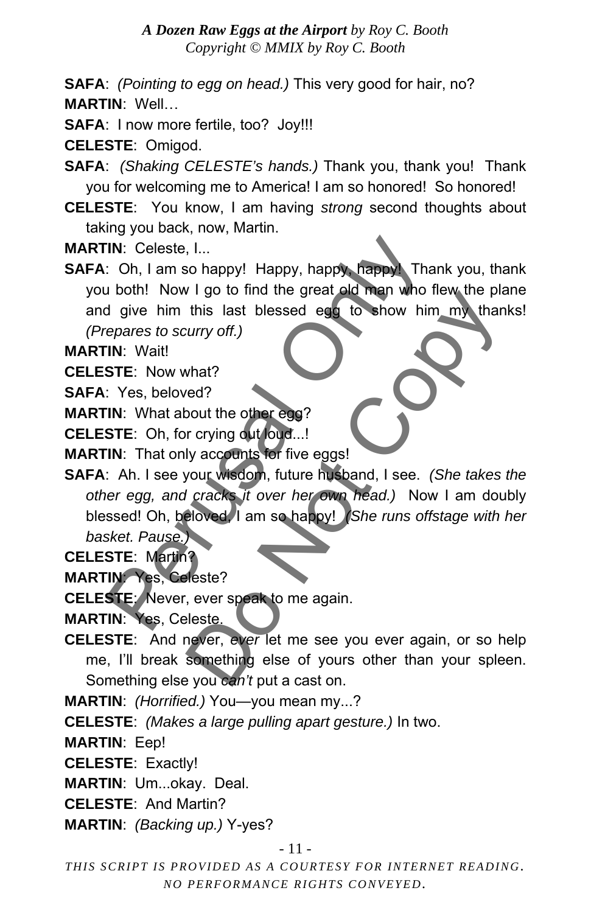**SAFA**: *(Pointing to egg on head.)* This very good for hair, no? **MARTIN**: Well…

**SAFA:** I now more fertile, too? Joy!!!

**CELESTE**: Omigod.

**SAFA**: *(Shaking CELESTE's hands.)* Thank you, thank you! Thank you for welcoming me to America! I am so honored! So honored!

**CELESTE**: You know, I am having *strong* second thoughts about taking you back, now, Martin.

**MARTIN**: Celeste, I...

**SAFA:** Oh, I am so happy! Happy, happy, happy! Thank you, thank you both! Now I go to find the great old man who flew the plane and give him this last blessed egg to show him my thanks! *(Prepares to scurry off.)* 

**MARTIN**: Wait!

**CELESTE**: Now what?

**SAFA**: Yes, beloved?

**MARTIN**: What about the other egg?

**CELESTE**: Oh, for crying out loud...!

**MARTIN**: That only accounts for five eggs!

**SAFA**: Ah. I see your wisdom, future husband, I see. *(She takes the other egg, and cracks it over her own head.)* Now I am doubly blessed! Oh, beloved, I am so happy! *(She runs offstage with her basket. Pause.)*  The Celeste, I...<br>
Perusal Only 1 am so happy! Happy, happy happy The<br>
1 both! Now I go to find the great old man who<br>
1 give him this last blessed egg to show hi<br>
1 epares to scurry off.)<br>
The Wait!<br>
STE: Now what?<br>
Pers, What?<br>
This last blessed egg to show him my than<br>
this last blessed egg to show him my than<br>
curry off.)<br>
what?<br>
Yed?<br>
yout the other egg?<br>
r crying out loud...!<br>
y accounts for five eggs!<br>
your wisdom, future husband, I s

**CELESTE**: Martin?

**MARTIN**: Yes, Celeste?

**CELESTE**: Never, ever speak to me again.

**MARTIN**: Yes, Celeste.

**CELESTE**: And never, *ever* let me see you ever again, or so help me, I'll break something else of yours other than your spleen. Something else you *can't* put a cast on.

**MARTIN**: *(Horrified.)* You—you mean my...?

**CELESTE**: *(Makes a large pulling apart gesture.)* In two.

**MARTIN**: Eep!

**CELESTE**: Exactly!

**MARTIN**: Um...okay. Deal.

**CELESTE**: And Martin?

**MARTIN**: *(Backing up.)* Y-yes?

- 11 -